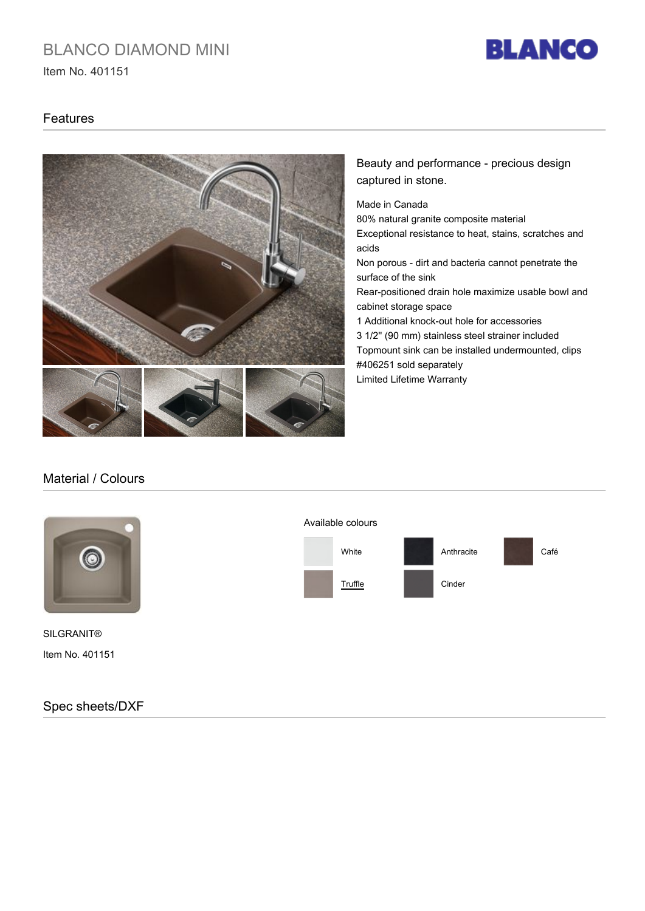# BLANCO DIAMOND MINI

Item No. 401151



#### Features



### Beauty and performance - precious design captured in stone.

Made in Canada

80% natural granite composite material Exceptional resistance to heat, stains, scratches and acids Non porous - dirt and bacteria cannot penetrate the surface of the sink Rear-positioned drain hole maximize usable bowl and cabinet storage space 1 Additional knock-out hole for accessories 3 1/2'' (90 mm) stainless steel strainer included Topmount sink can be installed undermounted, clips #406251 sold separately Limited Lifetime Warranty

### Material / Colours



Item No. 401151 SILGRANIT®

Spec sheets/DXF

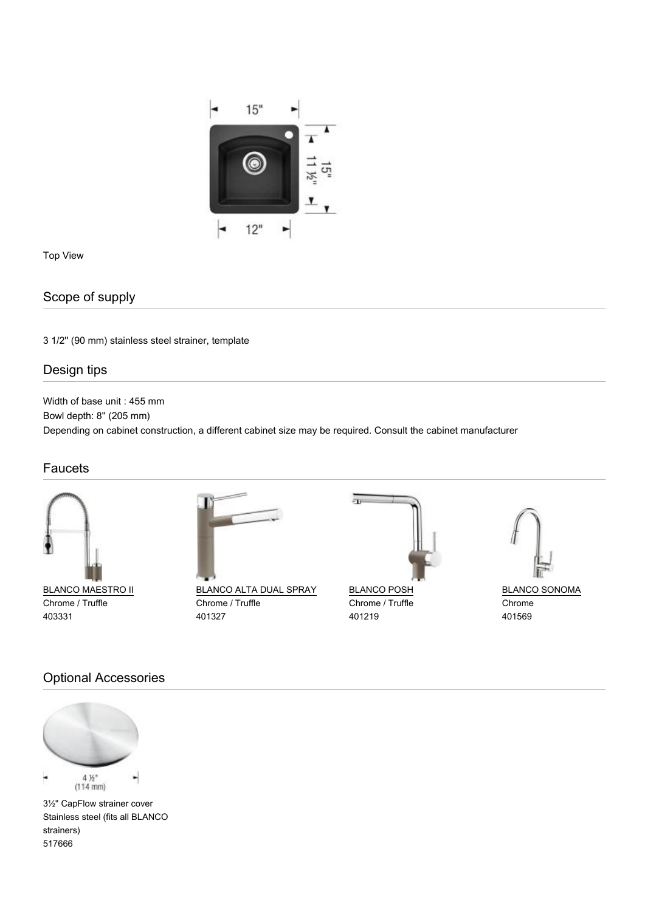

Top View

## Scope of supply

3 1/2'' (90 mm) stainless steel strainer, template

### Design tips

Width of base unit : 455 mm Bowl depth: 8'' (205 mm) Depending on cabinet construction, a different cabinet size may be required. Consult the cabinet manufacturer

### **Faucets**



**BLANCO MAESTRO II** Chrome / Truffle 403331



BLANCO ALTA DUAL SPRAY Chrome / Truffle 401327



**BLANCO POSH** Chrome / Truffle 401219

盂



BLANCO SONOMA Chrome 401569

### Optional Accessories



3½" CapFlow strainer cover Stainless steel (fits all BLANCO strainers) 517666